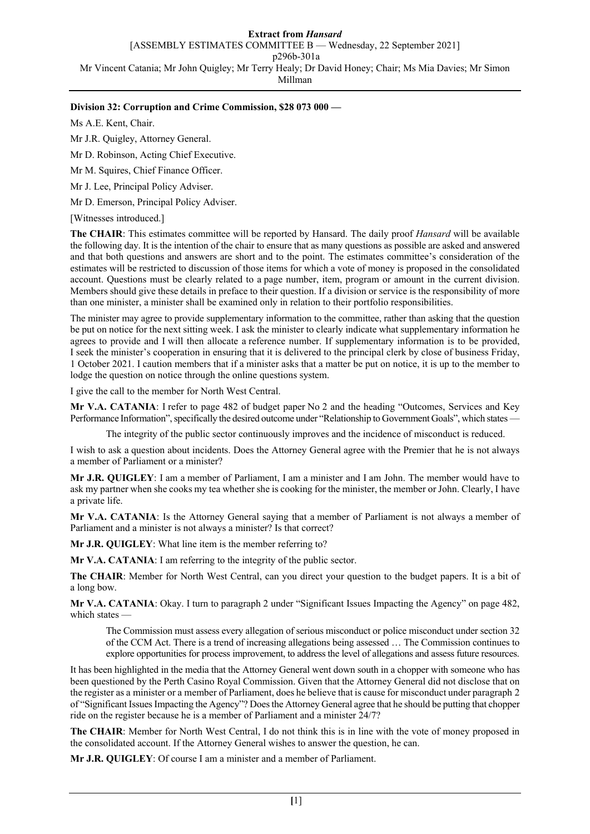**Extract from** *Hansard* [ASSEMBLY ESTIMATES COMMITTEE B — Wednesday, 22 September 2021] p296b-301a Mr Vincent Catania; Mr John Quigley; Mr Terry Healy; Dr David Honey; Chair; Ms Mia Davies; Mr Simon Millman

## **Division 32: Corruption and Crime Commission, \$28 073 000 —**

Ms A.E. Kent, Chair.

Mr J.R. Quigley, Attorney General.

Mr D. Robinson, Acting Chief Executive.

Mr M. Squires, Chief Finance Officer.

Mr J. Lee, Principal Policy Adviser.

Mr D. Emerson, Principal Policy Adviser.

[Witnesses introduced.]

**The CHAIR**: This estimates committee will be reported by Hansard. The daily proof *Hansard* will be available the following day. It is the intention of the chair to ensure that as many questions as possible are asked and answered and that both questions and answers are short and to the point. The estimates committee's consideration of the estimates will be restricted to discussion of those items for which a vote of money is proposed in the consolidated account. Questions must be clearly related to a page number, item, program or amount in the current division. Members should give these details in preface to their question. If a division or service is the responsibility of more than one minister, a minister shall be examined only in relation to their portfolio responsibilities.

The minister may agree to provide supplementary information to the committee, rather than asking that the question be put on notice for the next sitting week. I ask the minister to clearly indicate what supplementary information he agrees to provide and I will then allocate a reference number. If supplementary information is to be provided, I seek the minister's cooperation in ensuring that it is delivered to the principal clerk by close of business Friday, 1 October 2021. I caution members that if a minister asks that a matter be put on notice, it is up to the member to lodge the question on notice through the online questions system.

I give the call to the member for North West Central.

**Mr V.A. CATANIA**: I refer to page 482 of budget paper No 2 and the heading "Outcomes, Services and Key Performance Information", specifically the desired outcome under "Relationship to Government Goals", which states —

The integrity of the public sector continuously improves and the incidence of misconduct is reduced.

I wish to ask a question about incidents. Does the Attorney General agree with the Premier that he is not always a member of Parliament or a minister?

**Mr J.R. QUIGLEY**: I am a member of Parliament, I am a minister and I am John. The member would have to ask my partner when she cooks my tea whether she is cooking for the minister, the member or John. Clearly, I have a private life.

**Mr V.A. CATANIA**: Is the Attorney General saying that a member of Parliament is not always a member of Parliament and a minister is not always a minister? Is that correct?

**Mr J.R. QUIGLEY**: What line item is the member referring to?

**Mr V.A. CATANIA**: I am referring to the integrity of the public sector.

**The CHAIR**: Member for North West Central, can you direct your question to the budget papers. It is a bit of a long bow.

**Mr V.A. CATANIA**: Okay. I turn to paragraph 2 under "Significant Issues Impacting the Agency" on page 482, which states —

The Commission must assess every allegation of serious misconduct or police misconduct under section 32 of the CCM Act. There is a trend of increasing allegations being assessed … The Commission continues to explore opportunities for process improvement, to address the level of allegations and assess future resources.

It has been highlighted in the media that the Attorney General went down south in a chopper with someone who has been questioned by the Perth Casino Royal Commission. Given that the Attorney General did not disclose that on the register as a minister or a member of Parliament, does he believe that is cause for misconduct under paragraph 2 of "Significant Issues Impacting the Agency"? Does the Attorney General agree that he should be putting that chopper ride on the register because he is a member of Parliament and a minister 24/7?

**The CHAIR**: Member for North West Central, I do not think this is in line with the vote of money proposed in the consolidated account. If the Attorney General wishes to answer the question, he can.

**Mr J.R. QUIGLEY**: Of course I am a minister and a member of Parliament.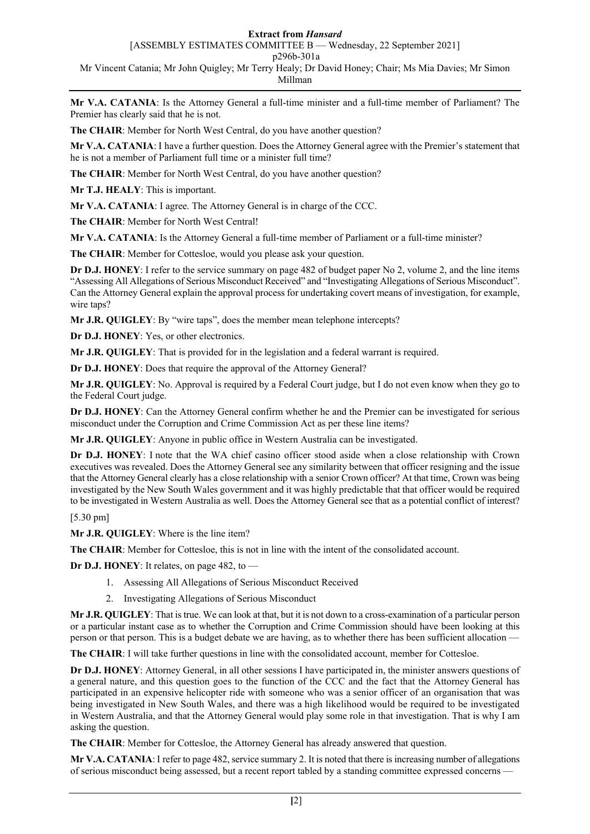## **Extract from** *Hansard*

[ASSEMBLY ESTIMATES COMMITTEE B — Wednesday, 22 September 2021]

p296b-301a

Mr Vincent Catania; Mr John Quigley; Mr Terry Healy; Dr David Honey; Chair; Ms Mia Davies; Mr Simon

Millman

**Mr V.A. CATANIA**: Is the Attorney General a full-time minister and a full-time member of Parliament? The Premier has clearly said that he is not.

**The CHAIR**: Member for North West Central, do you have another question?

**Mr V.A. CATANIA**: I have a further question. Does the Attorney General agree with the Premier's statement that he is not a member of Parliament full time or a minister full time?

**The CHAIR**: Member for North West Central, do you have another question?

**Mr T.J. HEALY**: This is important.

**Mr V.A. CATANIA**: I agree. The Attorney General is in charge of the CCC.

**The CHAIR**: Member for North West Central!

**Mr V.A. CATANIA**: Is the Attorney General a full-time member of Parliament or a full-time minister?

**The CHAIR**: Member for Cottesloe, would you please ask your question.

**Dr D.J. HONEY**: I refer to the service summary on page 482 of budget paper No 2, volume 2, and the line items "Assessing All Allegations of Serious Misconduct Received" and "Investigating Allegations of Serious Misconduct". Can the Attorney General explain the approval process for undertaking covert means of investigation, for example, wire taps?

**Mr J.R. QUIGLEY**: By "wire taps", does the member mean telephone intercepts?

**Dr D.J. HONEY**: Yes, or other electronics.

**Mr J.R. QUIGLEY**: That is provided for in the legislation and a federal warrant is required.

**Dr D.J. HONEY**: Does that require the approval of the Attorney General?

**Mr J.R. QUIGLEY**: No. Approval is required by a Federal Court judge, but I do not even know when they go to the Federal Court judge.

**Dr D.J. HONEY**: Can the Attorney General confirm whether he and the Premier can be investigated for serious misconduct under the Corruption and Crime Commission Act as per these line items?

**Mr J.R. QUIGLEY**: Anyone in public office in Western Australia can be investigated.

**Dr D.J. HONEY**: I note that the WA chief casino officer stood aside when a close relationship with Crown executives was revealed. Does the Attorney General see any similarity between that officer resigning and the issue that the Attorney General clearly has a close relationship with a senior Crown officer? At that time, Crown was being investigated by the New South Wales government and it was highly predictable that that officer would be required to be investigated in Western Australia as well. Does the Attorney General see that as a potential conflict of interest?

[5.30 pm]

**Mr J.R. QUIGLEY**: Where is the line item?

**The CHAIR**: Member for Cottesloe, this is not in line with the intent of the consolidated account.

**Dr D.J. HONEY**: It relates, on page 482, to —

- 1. Assessing All Allegations of Serious Misconduct Received
- 2. Investigating Allegations of Serious Misconduct

**Mr J.R. QUIGLEY**: That is true. We can look at that, but it is not down to a cross-examination of a particular person or a particular instant case as to whether the Corruption and Crime Commission should have been looking at this person or that person. This is a budget debate we are having, as to whether there has been sufficient allocation —

**The CHAIR**: I will take further questions in line with the consolidated account, member for Cottesloe.

**Dr D.J. HONEY**: Attorney General, in all other sessions I have participated in, the minister answers questions of a general nature, and this question goes to the function of the CCC and the fact that the Attorney General has participated in an expensive helicopter ride with someone who was a senior officer of an organisation that was being investigated in New South Wales, and there was a high likelihood would be required to be investigated in Western Australia, and that the Attorney General would play some role in that investigation. That is why I am asking the question.

**The CHAIR**: Member for Cottesloe, the Attorney General has already answered that question.

**Mr V.A. CATANIA**: I refer to page 482, service summary 2. It is noted that there is increasing number of allegations of serious misconduct being assessed, but a recent report tabled by a standing committee expressed concerns —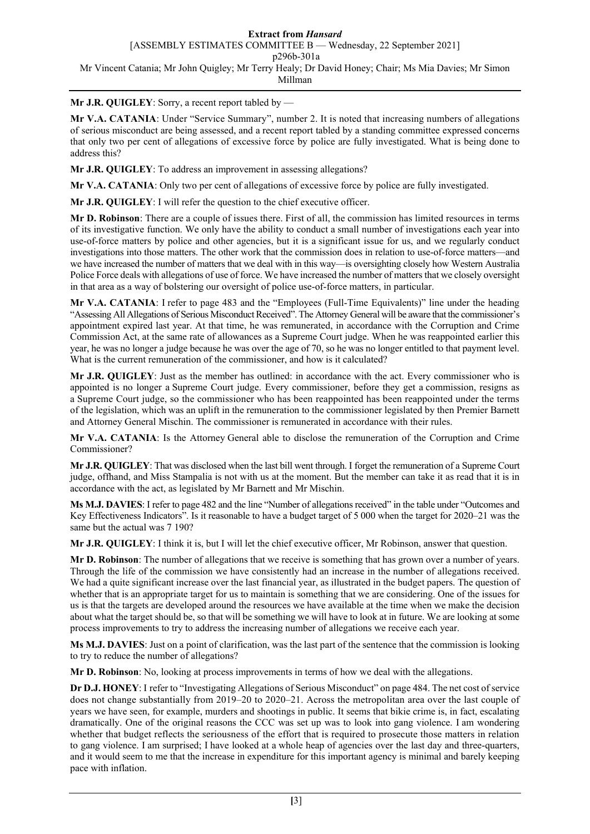**Mr J.R. QUIGLEY**: Sorry, a recent report tabled by —

**Mr V.A. CATANIA**: Under "Service Summary", number 2. It is noted that increasing numbers of allegations of serious misconduct are being assessed, and a recent report tabled by a standing committee expressed concerns that only two per cent of allegations of excessive force by police are fully investigated. What is being done to address this?

**Mr J.R. QUIGLEY**: To address an improvement in assessing allegations?

**Mr V.A. CATANIA**: Only two per cent of allegations of excessive force by police are fully investigated.

**Mr J.R. QUIGLEY**: I will refer the question to the chief executive officer.

**Mr D. Robinson**: There are a couple of issues there. First of all, the commission has limited resources in terms of its investigative function. We only have the ability to conduct a small number of investigations each year into use-of-force matters by police and other agencies, but it is a significant issue for us, and we regularly conduct investigations into those matters. The other work that the commission does in relation to use-of-force matters—and we have increased the number of matters that we deal with in this way—is oversighting closely how Western Australia Police Force deals with allegations of use of force. We have increased the number of matters that we closely oversight in that area as a way of bolstering our oversight of police use-of-force matters, in particular.

**Mr V.A. CATANIA**: I refer to page 483 and the "Employees (Full-Time Equivalents)" line under the heading "Assessing All Allegations of Serious Misconduct Received". The Attorney General will be aware that the commissioner's appointment expired last year. At that time, he was remunerated, in accordance with the Corruption and Crime Commission Act, at the same rate of allowances as a Supreme Court judge. When he was reappointed earlier this year, he was no longer a judge because he was over the age of 70, so he was no longer entitled to that payment level. What is the current remuneration of the commissioner, and how is it calculated?

**Mr J.R. QUIGLEY**: Just as the member has outlined: in accordance with the act. Every commissioner who is appointed is no longer a Supreme Court judge. Every commissioner, before they get a commission, resigns as a Supreme Court judge, so the commissioner who has been reappointed has been reappointed under the terms of the legislation, which was an uplift in the remuneration to the commissioner legislated by then Premier Barnett and Attorney General Mischin. The commissioner is remunerated in accordance with their rules.

**Mr V.A. CATANIA**: Is the Attorney General able to disclose the remuneration of the Corruption and Crime Commissioner?

**Mr J.R. QUIGLEY**: That was disclosed when the last bill went through. I forget the remuneration of a Supreme Court judge, offhand, and Miss Stampalia is not with us at the moment. But the member can take it as read that it is in accordance with the act, as legislated by Mr Barnett and Mr Mischin.

**Ms M.J. DAVIES**: I refer to page 482 and the line "Number of allegations received" in the table under "Outcomes and Key Effectiveness Indicators". Is it reasonable to have a budget target of 5 000 when the target for 2020–21 was the same but the actual was 7 190?

**Mr J.R. QUIGLEY**: I think it is, but I will let the chief executive officer, Mr Robinson, answer that question.

**Mr D. Robinson**: The number of allegations that we receive is something that has grown over a number of years. Through the life of the commission we have consistently had an increase in the number of allegations received. We had a quite significant increase over the last financial year, as illustrated in the budget papers. The question of whether that is an appropriate target for us to maintain is something that we are considering. One of the issues for us is that the targets are developed around the resources we have available at the time when we make the decision about what the target should be, so that will be something we will have to look at in future. We are looking at some process improvements to try to address the increasing number of allegations we receive each year.

**Ms M.J. DAVIES**: Just on a point of clarification, was the last part of the sentence that the commission is looking to try to reduce the number of allegations?

**Mr D. Robinson**: No, looking at process improvements in terms of how we deal with the allegations.

**Dr D.J. HONEY**: I refer to "Investigating Allegations of Serious Misconduct" on page 484. The net cost of service does not change substantially from 2019–20 to 2020–21. Across the metropolitan area over the last couple of years we have seen, for example, murders and shootings in public. It seems that bikie crime is, in fact, escalating dramatically. One of the original reasons the CCC was set up was to look into gang violence. I am wondering whether that budget reflects the seriousness of the effort that is required to prosecute those matters in relation to gang violence. I am surprised; I have looked at a whole heap of agencies over the last day and three-quarters, and it would seem to me that the increase in expenditure for this important agency is minimal and barely keeping pace with inflation.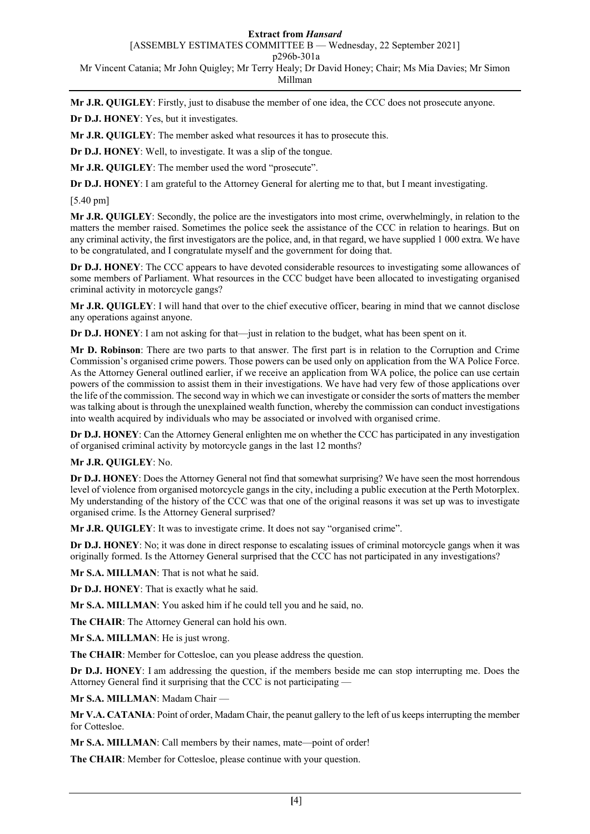#### **Extract from** *Hansard*

[ASSEMBLY ESTIMATES COMMITTEE B — Wednesday, 22 September 2021]

p296b-301a

Mr Vincent Catania; Mr John Quigley; Mr Terry Healy; Dr David Honey; Chair; Ms Mia Davies; Mr Simon

# Millman

**Mr J.R. QUIGLEY**: Firstly, just to disabuse the member of one idea, the CCC does not prosecute anyone.

**Dr D.J. HONEY**: Yes, but it investigates.

**Mr J.R. QUIGLEY**: The member asked what resources it has to prosecute this.

**Dr D.J. HONEY**: Well, to investigate. It was a slip of the tongue.

**Mr J.R. QUIGLEY**: The member used the word "prosecute".

**Dr D.J. HONEY**: I am grateful to the Attorney General for alerting me to that, but I meant investigating.

[5.40 pm]

**Mr J.R. QUIGLEY**: Secondly, the police are the investigators into most crime, overwhelmingly, in relation to the matters the member raised. Sometimes the police seek the assistance of the CCC in relation to hearings. But on any criminal activity, the first investigators are the police, and, in that regard, we have supplied 1 000 extra. We have to be congratulated, and I congratulate myself and the government for doing that.

**Dr D.J. HONEY**: The CCC appears to have devoted considerable resources to investigating some allowances of some members of Parliament. What resources in the CCC budget have been allocated to investigating organised criminal activity in motorcycle gangs?

**Mr J.R. QUIGLEY**: I will hand that over to the chief executive officer, bearing in mind that we cannot disclose any operations against anyone.

**Dr D.J. HONEY**: I am not asking for that—just in relation to the budget, what has been spent on it.

**Mr D. Robinson**: There are two parts to that answer. The first part is in relation to the Corruption and Crime Commission's organised crime powers. Those powers can be used only on application from the WA Police Force. As the Attorney General outlined earlier, if we receive an application from WA police, the police can use certain powers of the commission to assist them in their investigations. We have had very few of those applications over the life of the commission. The second way in which we can investigate or consider the sorts of matters the member was talking about is through the unexplained wealth function, whereby the commission can conduct investigations into wealth acquired by individuals who may be associated or involved with organised crime.

**Dr D.J. HONEY**: Can the Attorney General enlighten me on whether the CCC has participated in any investigation of organised criminal activity by motorcycle gangs in the last 12 months?

# **Mr J.R. QUIGLEY**: No.

**Dr D.J. HONEY**: Does the Attorney General not find that somewhat surprising? We have seen the most horrendous level of violence from organised motorcycle gangs in the city, including a public execution at the Perth Motorplex. My understanding of the history of the CCC was that one of the original reasons it was set up was to investigate organised crime. Is the Attorney General surprised?

**Mr J.R. QUIGLEY**: It was to investigate crime. It does not say "organised crime".

**Dr D.J. HONEY**: No; it was done in direct response to escalating issues of criminal motorcycle gangs when it was originally formed. Is the Attorney General surprised that the CCC has not participated in any investigations?

**Mr S.A. MILLMAN**: That is not what he said.

**Dr D.J. HONEY**: That is exactly what he said.

**Mr S.A. MILLMAN**: You asked him if he could tell you and he said, no.

**The CHAIR**: The Attorney General can hold his own.

**Mr S.A. MILLMAN**: He is just wrong.

**The CHAIR**: Member for Cottesloe, can you please address the question.

**Dr D.J. HONEY**: I am addressing the question, if the members beside me can stop interrupting me. Does the Attorney General find it surprising that the CCC is not participating —

**Mr S.A. MILLMAN**: Madam Chair —

**Mr V.A. CATANIA**: Point of order, Madam Chair, the peanut gallery to the left of us keeps interrupting the member for Cottesloe.

**Mr S.A. MILLMAN**: Call members by their names, mate—point of order!

**The CHAIR**: Member for Cottesloe, please continue with your question.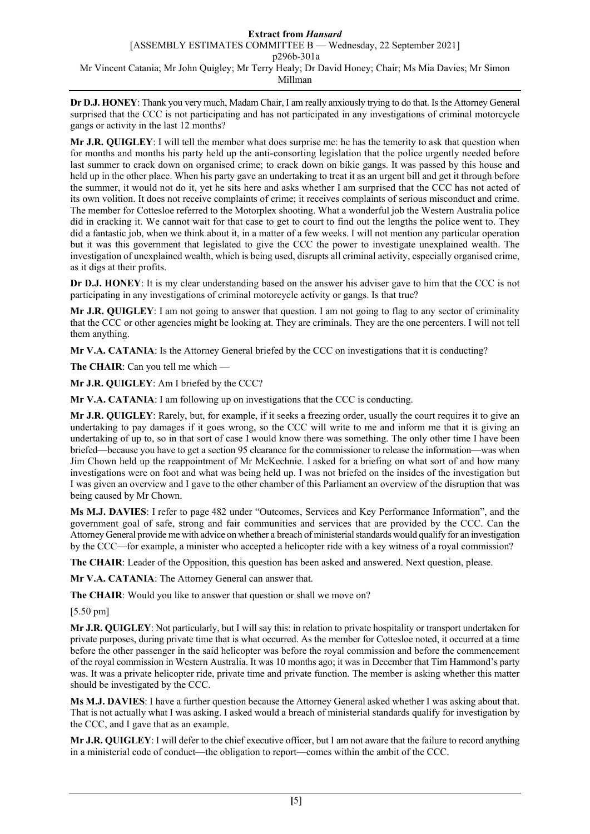# **Extract from** *Hansard* [ASSEMBLY ESTIMATES COMMITTEE B — Wednesday, 22 September 2021] p296b-301a Mr Vincent Catania; Mr John Quigley; Mr Terry Healy; Dr David Honey; Chair; Ms Mia Davies; Mr Simon Millman

**Dr D.J. HONEY**: Thank you very much, Madam Chair, I am really anxiously trying to do that. Is the Attorney General surprised that the CCC is not participating and has not participated in any investigations of criminal motorcycle gangs or activity in the last 12 months?

**Mr J.R. QUIGLEY**: I will tell the member what does surprise me: he has the temerity to ask that question when for months and months his party held up the anti-consorting legislation that the police urgently needed before last summer to crack down on organised crime; to crack down on bikie gangs. It was passed by this house and held up in the other place. When his party gave an undertaking to treat it as an urgent bill and get it through before the summer, it would not do it, yet he sits here and asks whether I am surprised that the CCC has not acted of its own volition. It does not receive complaints of crime; it receives complaints of serious misconduct and crime. The member for Cottesloe referred to the Motorplex shooting. What a wonderful job the Western Australia police did in cracking it. We cannot wait for that case to get to court to find out the lengths the police went to. They did a fantastic job, when we think about it, in a matter of a few weeks. I will not mention any particular operation but it was this government that legislated to give the CCC the power to investigate unexplained wealth. The investigation of unexplained wealth, which is being used, disrupts all criminal activity, especially organised crime, as it digs at their profits.

**Dr D.J. HONEY**: It is my clear understanding based on the answer his adviser gave to him that the CCC is not participating in any investigations of criminal motorcycle activity or gangs. Is that true?

**Mr J.R. QUIGLEY**: I am not going to answer that question. I am not going to flag to any sector of criminality that the CCC or other agencies might be looking at. They are criminals. They are the one percenters. I will not tell them anything.

**Mr V.A. CATANIA**: Is the Attorney General briefed by the CCC on investigations that it is conducting?

**The CHAIR**: Can you tell me which —

**Mr J.R. QUIGLEY**: Am I briefed by the CCC?

**Mr V.A. CATANIA**: I am following up on investigations that the CCC is conducting.

**Mr J.R. QUIGLEY**: Rarely, but, for example, if it seeks a freezing order, usually the court requires it to give an undertaking to pay damages if it goes wrong, so the CCC will write to me and inform me that it is giving an undertaking of up to, so in that sort of case I would know there was something. The only other time I have been briefed—because you have to get a section 95 clearance for the commissioner to release the information—was when Jim Chown held up the reappointment of Mr McKechnie. I asked for a briefing on what sort of and how many investigations were on foot and what was being held up. I was not briefed on the insides of the investigation but I was given an overview and I gave to the other chamber of this Parliament an overview of the disruption that was being caused by Mr Chown.

**Ms M.J. DAVIES**: I refer to page 482 under "Outcomes, Services and Key Performance Information", and the government goal of safe, strong and fair communities and services that are provided by the CCC. Can the Attorney General provide me with advice on whether a breach of ministerial standards would qualify for an investigation by the CCC—for example, a minister who accepted a helicopter ride with a key witness of a royal commission?

**The CHAIR**: Leader of the Opposition, this question has been asked and answered. Next question, please.

**Mr V.A. CATANIA**: The Attorney General can answer that.

**The CHAIR**: Would you like to answer that question or shall we move on?

[5.50 pm]

**Mr J.R. QUIGLEY**: Not particularly, but I will say this: in relation to private hospitality or transport undertaken for private purposes, during private time that is what occurred. As the member for Cottesloe noted, it occurred at a time before the other passenger in the said helicopter was before the royal commission and before the commencement of the royal commission in Western Australia. It was 10 months ago; it was in December that Tim Hammond's party was. It was a private helicopter ride, private time and private function. The member is asking whether this matter should be investigated by the CCC.

**Ms M.J. DAVIES**: I have a further question because the Attorney General asked whether I was asking about that. That is not actually what I was asking. I asked would a breach of ministerial standards qualify for investigation by the CCC, and I gave that as an example.

**Mr J.R. QUIGLEY**: I will defer to the chief executive officer, but I am not aware that the failure to record anything in a ministerial code of conduct—the obligation to report—comes within the ambit of the CCC.